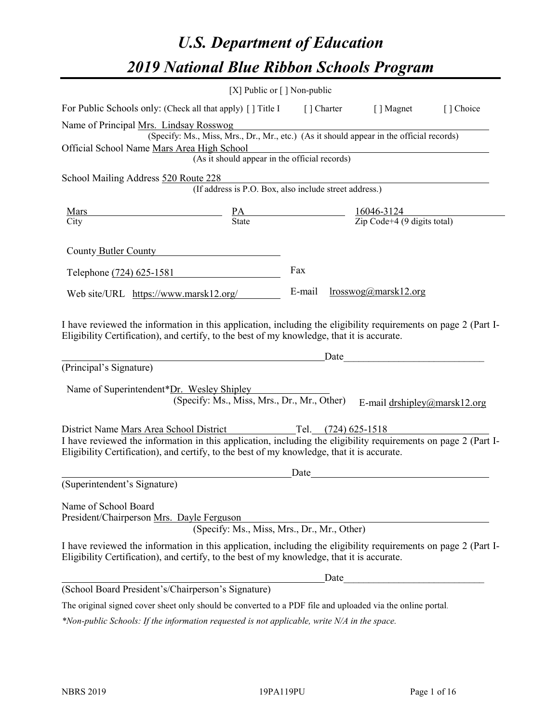# *U.S. Department of Education 2019 National Blue Ribbon Schools Program*

|                                                                                                                                                                                                              | [X] Public or [] Non-public                                                                                                                                                       |      |      |                                                                     |           |
|--------------------------------------------------------------------------------------------------------------------------------------------------------------------------------------------------------------|-----------------------------------------------------------------------------------------------------------------------------------------------------------------------------------|------|------|---------------------------------------------------------------------|-----------|
| For Public Schools only: (Check all that apply) [] Title I [] Charter [] Magnet                                                                                                                              |                                                                                                                                                                                   |      |      |                                                                     | [] Choice |
| Name of Principal Mrs. Lindsay Rosswog<br>Official School Name Mars Area High School                                                                                                                         | rs. Lindsay Rosswog<br>(Specify: Ms., Miss, Mrs., Dr., Mr., etc.) (As it should appear in the official records)<br>a High School<br>(As it should appear in the official records) |      |      |                                                                     |           |
|                                                                                                                                                                                                              |                                                                                                                                                                                   |      |      |                                                                     |           |
| School Mailing Address 520 Route 228                                                                                                                                                                         |                                                                                                                                                                                   |      |      |                                                                     |           |
| <u>Mars</u>                                                                                                                                                                                                  |                                                                                                                                                                                   |      |      |                                                                     |           |
| City                                                                                                                                                                                                         | $\frac{PA}{State}$ $\frac{16046-3124}{Zip Code+4 (9 digits total)}$                                                                                                               |      |      |                                                                     |           |
| County Butler County                                                                                                                                                                                         |                                                                                                                                                                                   |      |      |                                                                     |           |
| Telephone (724) 625-1581                                                                                                                                                                                     |                                                                                                                                                                                   | Fax  |      |                                                                     |           |
| Web site/URL https://www.marsk12.org/                                                                                                                                                                        |                                                                                                                                                                                   |      |      | E-mail $\frac{lrosswog(\partial)$ marsk12.org                       |           |
| (Principal's Signature)<br>Name of Superintendent*Dr. Wesley Shipley                                                                                                                                         | (Specify: Ms., Miss, Mrs., Dr., Mr., Other)                                                                                                                                       |      |      | E-mail drshipley@marsk12.org                                        |           |
| District Name Mars Area School District                                                                                                                                                                      | Tel. $(724)$ 625-1518                                                                                                                                                             |      |      |                                                                     |           |
| I have reviewed the information in this application, including the eligibility requirements on page 2 (Part I-<br>Eligibility Certification), and certify, to the best of my knowledge, that it is accurate. |                                                                                                                                                                                   |      |      |                                                                     |           |
|                                                                                                                                                                                                              |                                                                                                                                                                                   | Date |      | <u> 1980 - Andrea Station Barbara, amerikan personal (h. 1980).</u> |           |
| (Superintendent's Signature)                                                                                                                                                                                 |                                                                                                                                                                                   |      |      |                                                                     |           |
| Name of School Board<br>President/Chairperson Mrs. Dayle Ferguson                                                                                                                                            | (Specify: Ms., Miss, Mrs., Dr., Mr., Other)                                                                                                                                       |      |      |                                                                     |           |
| I have reviewed the information in this application, including the eligibility requirements on page 2 (Part I-<br>Eligibility Certification), and certify, to the best of my knowledge, that it is accurate. |                                                                                                                                                                                   |      |      |                                                                     |           |
|                                                                                                                                                                                                              |                                                                                                                                                                                   |      | Date |                                                                     |           |
| (School Board President's/Chairperson's Signature)                                                                                                                                                           |                                                                                                                                                                                   |      |      |                                                                     |           |
| The original signed cover sheet only should be converted to a PDF file and uploaded via the online portal.                                                                                                   |                                                                                                                                                                                   |      |      |                                                                     |           |

*\*Non-public Schools: If the information requested is not applicable, write N/A in the space.*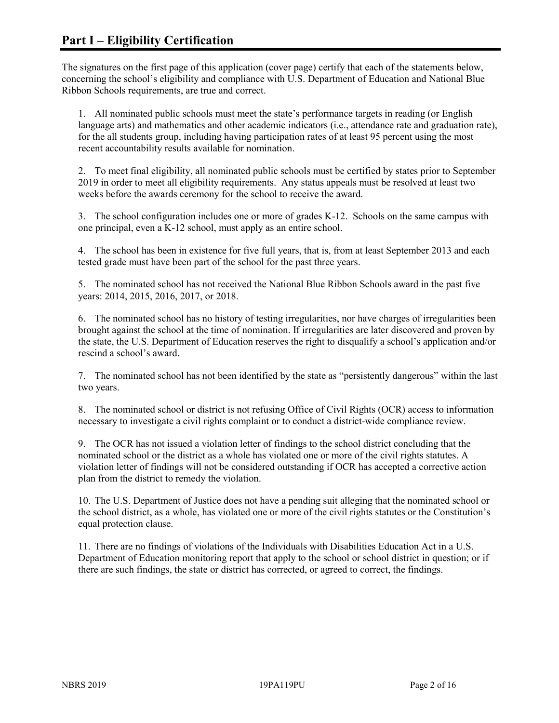The signatures on the first page of this application (cover page) certify that each of the statements below, concerning the school's eligibility and compliance with U.S. Department of Education and National Blue Ribbon Schools requirements, are true and correct.

1. All nominated public schools must meet the state's performance targets in reading (or English language arts) and mathematics and other academic indicators (i.e., attendance rate and graduation rate), for the all students group, including having participation rates of at least 95 percent using the most recent accountability results available for nomination.

2. To meet final eligibility, all nominated public schools must be certified by states prior to September 2019 in order to meet all eligibility requirements. Any status appeals must be resolved at least two weeks before the awards ceremony for the school to receive the award.

3. The school configuration includes one or more of grades K-12. Schools on the same campus with one principal, even a K-12 school, must apply as an entire school.

4. The school has been in existence for five full years, that is, from at least September 2013 and each tested grade must have been part of the school for the past three years.

5. The nominated school has not received the National Blue Ribbon Schools award in the past five years: 2014, 2015, 2016, 2017, or 2018.

6. The nominated school has no history of testing irregularities, nor have charges of irregularities been brought against the school at the time of nomination. If irregularities are later discovered and proven by the state, the U.S. Department of Education reserves the right to disqualify a school's application and/or rescind a school's award.

7. The nominated school has not been identified by the state as "persistently dangerous" within the last two years.

8. The nominated school or district is not refusing Office of Civil Rights (OCR) access to information necessary to investigate a civil rights complaint or to conduct a district-wide compliance review.

9. The OCR has not issued a violation letter of findings to the school district concluding that the nominated school or the district as a whole has violated one or more of the civil rights statutes. A violation letter of findings will not be considered outstanding if OCR has accepted a corrective action plan from the district to remedy the violation.

10. The U.S. Department of Justice does not have a pending suit alleging that the nominated school or the school district, as a whole, has violated one or more of the civil rights statutes or the Constitution's equal protection clause.

11. There are no findings of violations of the Individuals with Disabilities Education Act in a U.S. Department of Education monitoring report that apply to the school or school district in question; or if there are such findings, the state or district has corrected, or agreed to correct, the findings.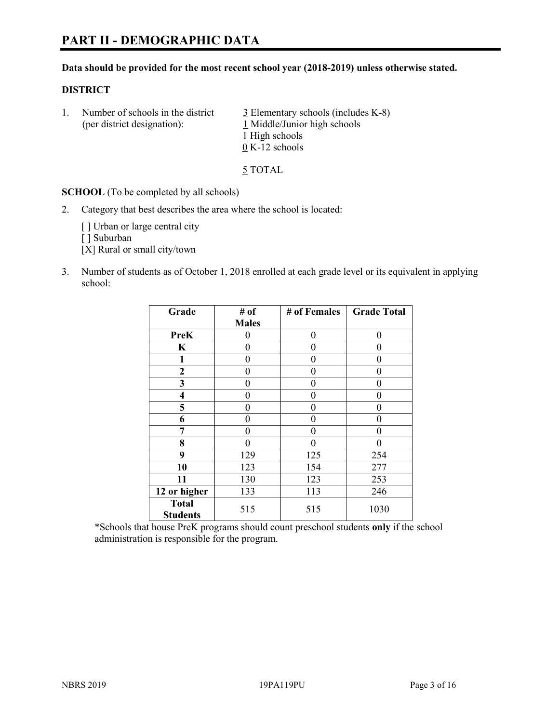# **PART II - DEMOGRAPHIC DATA**

#### **Data should be provided for the most recent school year (2018-2019) unless otherwise stated.**

#### **DISTRICT**

1. Number of schools in the district  $\frac{3}{2}$  Elementary schools (includes K-8) (per district designation): 1 Middle/Junior high schools 1 High schools 0 K-12 schools

5 TOTAL

**SCHOOL** (To be completed by all schools)

2. Category that best describes the area where the school is located:

[ ] Urban or large central city

[ ] Suburban

[X] Rural or small city/town

3. Number of students as of October 1, 2018 enrolled at each grade level or its equivalent in applying school:

| Grade                           | # of         | # of Females | <b>Grade Total</b> |
|---------------------------------|--------------|--------------|--------------------|
|                                 | <b>Males</b> |              |                    |
| PreK                            | 0            | $\theta$     | 0                  |
| $\mathbf K$                     | 0            | 0            | 0                  |
| 1                               | 0            | 0            | $\theta$           |
| $\mathbf{2}$                    | 0            | 0            | 0                  |
| 3                               | 0            | 0            | 0                  |
| 4                               | 0            | 0            | $\theta$           |
| 5                               | 0            | 0            | 0                  |
| 6                               | 0            | 0            | 0                  |
| 7                               | 0            | $\theta$     | 0                  |
| 8                               | 0            | 0            | 0                  |
| 9                               | 129          | 125          | 254                |
| 10                              | 123          | 154          | 277                |
| 11                              | 130          | 123          | 253                |
| 12 or higher                    | 133          | 113          | 246                |
| <b>Total</b><br><b>Students</b> | 515          | 515          | 1030               |

\*Schools that house PreK programs should count preschool students **only** if the school administration is responsible for the program.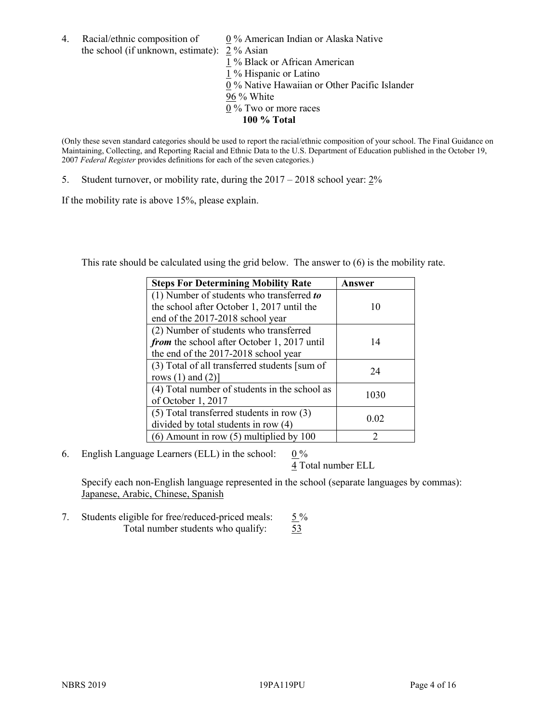4. Racial/ethnic composition of  $0\%$  American Indian or Alaska Native the school (if unknown, estimate): 2 % Asian

 % Black or African American % Hispanic or Latino % Native Hawaiian or Other Pacific Islander 96 % White % Two or more races **100 % Total**

(Only these seven standard categories should be used to report the racial/ethnic composition of your school. The Final Guidance on Maintaining, Collecting, and Reporting Racial and Ethnic Data to the U.S. Department of Education published in the October 19, 2007 *Federal Register* provides definitions for each of the seven categories.)

5. Student turnover, or mobility rate, during the 2017 – 2018 school year: 2%

If the mobility rate is above 15%, please explain.

This rate should be calculated using the grid below. The answer to (6) is the mobility rate.

| <b>Steps For Determining Mobility Rate</b>    | Answer |
|-----------------------------------------------|--------|
| (1) Number of students who transferred to     |        |
| the school after October 1, 2017 until the    | 10     |
| end of the 2017-2018 school year              |        |
| (2) Number of students who transferred        |        |
| from the school after October 1, 2017 until   | 14     |
| the end of the 2017-2018 school year          |        |
| (3) Total of all transferred students [sum of | 24     |
| rows $(1)$ and $(2)$ ]                        |        |
| (4) Total number of students in the school as |        |
| of October 1, 2017                            | 1030   |
| $(5)$ Total transferred students in row $(3)$ |        |
| divided by total students in row (4)          | 0.02   |
| $(6)$ Amount in row $(5)$ multiplied by 100   | っ      |

6. English Language Learners (ELL) in the school:  $0\%$ 

4 Total number ELL

Specify each non-English language represented in the school (separate languages by commas): Japanese, Arabic, Chinese, Spanish

7. Students eligible for free/reduced-priced meals:  $5\%$ Total number students who qualify: 53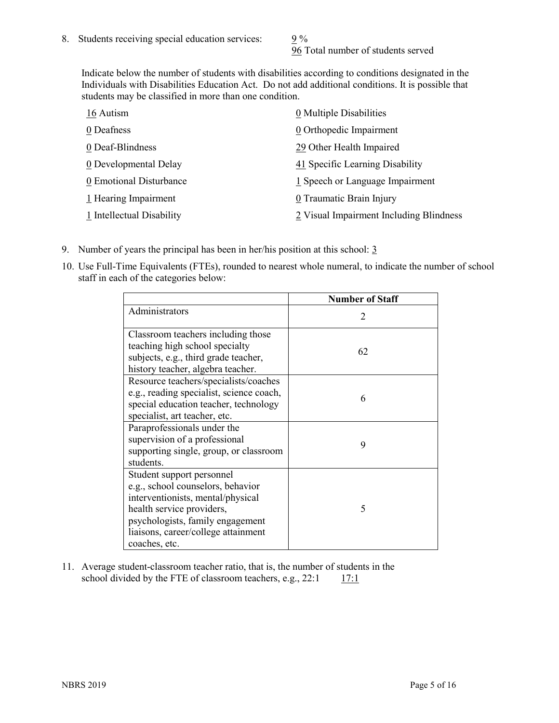96 Total number of students served

Indicate below the number of students with disabilities according to conditions designated in the Individuals with Disabilities Education Act. Do not add additional conditions. It is possible that students may be classified in more than one condition.

| 16 Autism                 | 0 Multiple Disabilities                 |
|---------------------------|-----------------------------------------|
| 0 Deafness                | 0 Orthopedic Impairment                 |
| 0 Deaf-Blindness          | 29 Other Health Impaired                |
| 0 Developmental Delay     | 41 Specific Learning Disability         |
| 0 Emotional Disturbance   | 1 Speech or Language Impairment         |
| 1 Hearing Impairment      | 0 Traumatic Brain Injury                |
| 1 Intellectual Disability | 2 Visual Impairment Including Blindness |

- 9. Number of years the principal has been in her/his position at this school:  $\frac{3}{5}$
- 10. Use Full-Time Equivalents (FTEs), rounded to nearest whole numeral, to indicate the number of school staff in each of the categories below:

|                                                                                                                                                                                                                              | <b>Number of Staff</b>      |
|------------------------------------------------------------------------------------------------------------------------------------------------------------------------------------------------------------------------------|-----------------------------|
| Administrators                                                                                                                                                                                                               | $\mathcal{D}_{\mathcal{A}}$ |
| Classroom teachers including those<br>teaching high school specialty<br>subjects, e.g., third grade teacher,<br>history teacher, algebra teacher.                                                                            | 62                          |
| Resource teachers/specialists/coaches<br>e.g., reading specialist, science coach,<br>special education teacher, technology<br>specialist, art teacher, etc.                                                                  | 6                           |
| Paraprofessionals under the<br>supervision of a professional<br>supporting single, group, or classroom<br>students.                                                                                                          | 9                           |
| Student support personnel<br>e.g., school counselors, behavior<br>interventionists, mental/physical<br>health service providers,<br>psychologists, family engagement<br>liaisons, career/college attainment<br>coaches, etc. | 5                           |

11. Average student-classroom teacher ratio, that is, the number of students in the school divided by the FTE of classroom teachers, e.g.,  $22:1$  17:1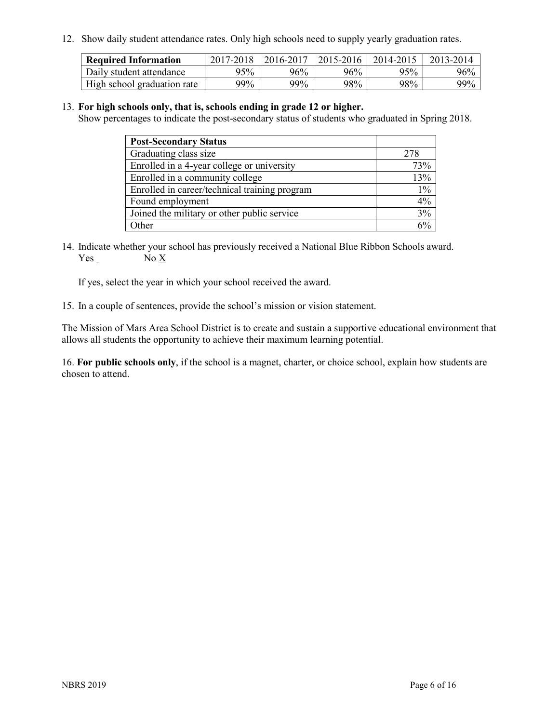12. Show daily student attendance rates. Only high schools need to supply yearly graduation rates.

| <b>Required Information</b> | 2017-2018 | 2016-2017 | 2015-2016 | 2014-2015 | 2013-2014 |
|-----------------------------|-----------|-----------|-----------|-----------|-----------|
| Daily student attendance    | 95%       | 96%       | 96%       | 95%       | 96%       |
| High school graduation rate | 99%       | 99%       | 98%       | 98%       | $99\%$    |

#### 13. **For high schools only, that is, schools ending in grade 12 or higher.**

Show percentages to indicate the post-secondary status of students who graduated in Spring 2018.

| <b>Post-Secondary Status</b>                  |       |
|-----------------------------------------------|-------|
| Graduating class size                         | 278   |
| Enrolled in a 4-year college or university    | 73%   |
| Enrolled in a community college               | 13%   |
| Enrolled in career/technical training program | $1\%$ |
| Found employment                              | 4%    |
| Joined the military or other public service   | 3%    |
| Other                                         |       |

14. Indicate whether your school has previously received a National Blue Ribbon Schools award. Yes No X

If yes, select the year in which your school received the award.

15. In a couple of sentences, provide the school's mission or vision statement.

The Mission of Mars Area School District is to create and sustain a supportive educational environment that allows all students the opportunity to achieve their maximum learning potential.

16. **For public schools only**, if the school is a magnet, charter, or choice school, explain how students are chosen to attend.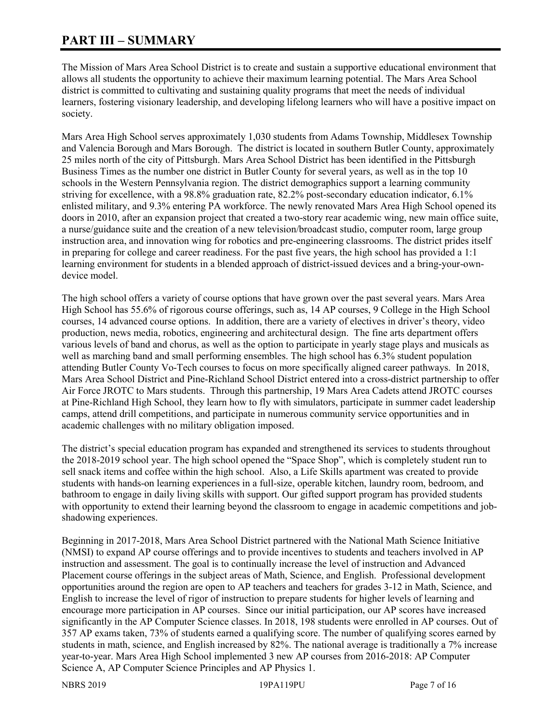# **PART III – SUMMARY**

The Mission of Mars Area School District is to create and sustain a supportive educational environment that allows all students the opportunity to achieve their maximum learning potential. The Mars Area School district is committed to cultivating and sustaining quality programs that meet the needs of individual learners, fostering visionary leadership, and developing lifelong learners who will have a positive impact on society.

Mars Area High School serves approximately 1,030 students from Adams Township, Middlesex Township and Valencia Borough and Mars Borough. The district is located in southern Butler County, approximately 25 miles north of the city of Pittsburgh. Mars Area School District has been identified in the Pittsburgh Business Times as the number one district in Butler County for several years, as well as in the top 10 schools in the Western Pennsylvania region. The district demographics support a learning community striving for excellence, with a 98.8% graduation rate, 82.2% post-secondary education indicator, 6.1% enlisted military, and 9.3% entering PA workforce. The newly renovated Mars Area High School opened its doors in 2010, after an expansion project that created a two-story rear academic wing, new main office suite, a nurse/guidance suite and the creation of a new television/broadcast studio, computer room, large group instruction area, and innovation wing for robotics and pre-engineering classrooms. The district prides itself in preparing for college and career readiness. For the past five years, the high school has provided a 1:1 learning environment for students in a blended approach of district-issued devices and a bring-your-owndevice model.

The high school offers a variety of course options that have grown over the past several years. Mars Area High School has 55.6% of rigorous course offerings, such as, 14 AP courses, 9 College in the High School courses, 14 advanced course options. In addition, there are a variety of electives in driver's theory, video production, news media, robotics, engineering and architectural design. The fine arts department offers various levels of band and chorus, as well as the option to participate in yearly stage plays and musicals as well as marching band and small performing ensembles. The high school has 6.3% student population attending Butler County Vo-Tech courses to focus on more specifically aligned career pathways. In 2018, Mars Area School District and Pine-Richland School District entered into a cross-district partnership to offer Air Force JROTC to Mars students. Through this partnership, 19 Mars Area Cadets attend JROTC courses at Pine-Richland High School, they learn how to fly with simulators, participate in summer cadet leadership camps, attend drill competitions, and participate in numerous community service opportunities and in academic challenges with no military obligation imposed.

The district's special education program has expanded and strengthened its services to students throughout the 2018-2019 school year. The high school opened the "Space Shop", which is completely student run to sell snack items and coffee within the high school. Also, a Life Skills apartment was created to provide students with hands-on learning experiences in a full-size, operable kitchen, laundry room, bedroom, and bathroom to engage in daily living skills with support. Our gifted support program has provided students with opportunity to extend their learning beyond the classroom to engage in academic competitions and jobshadowing experiences.

Beginning in 2017-2018, Mars Area School District partnered with the National Math Science Initiative (NMSI) to expand AP course offerings and to provide incentives to students and teachers involved in AP instruction and assessment. The goal is to continually increase the level of instruction and Advanced Placement course offerings in the subject areas of Math, Science, and English. Professional development opportunities around the region are open to AP teachers and teachers for grades 3-12 in Math, Science, and English to increase the level of rigor of instruction to prepare students for higher levels of learning and encourage more participation in AP courses. Since our initial participation, our AP scores have increased significantly in the AP Computer Science classes. In 2018, 198 students were enrolled in AP courses. Out of 357 AP exams taken, 73% of students earned a qualifying score. The number of qualifying scores earned by students in math, science, and English increased by 82%. The national average is traditionally a 7% increase year-to-year. Mars Area High School implemented 3 new AP courses from 2016-2018: AP Computer Science A, AP Computer Science Principles and AP Physics 1.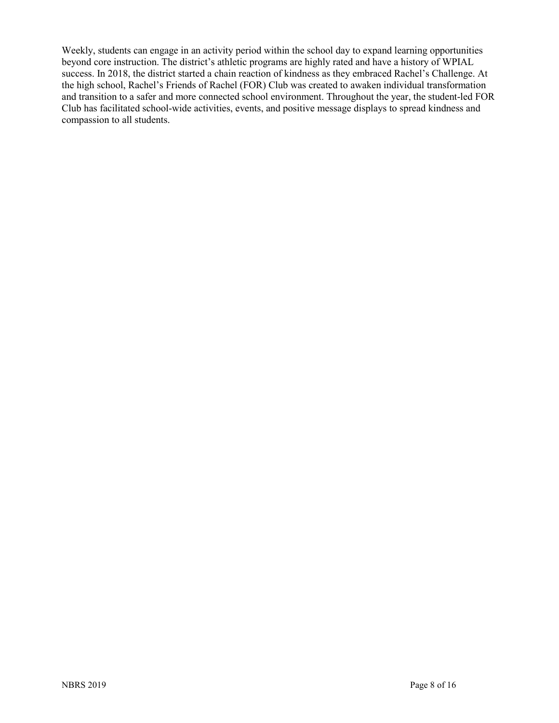Weekly, students can engage in an activity period within the school day to expand learning opportunities beyond core instruction. The district's athletic programs are highly rated and have a history of WPIAL success. In 2018, the district started a chain reaction of kindness as they embraced Rachel's Challenge. At the high school, Rachel's Friends of Rachel (FOR) Club was created to awaken individual transformation and transition to a safer and more connected school environment. Throughout the year, the student-led FOR Club has facilitated school-wide activities, events, and positive message displays to spread kindness and compassion to all students.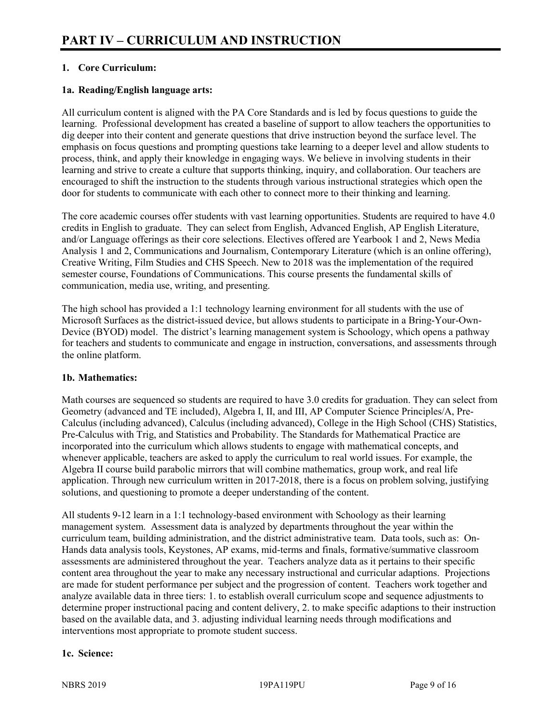# **1. Core Curriculum:**

# **1a. Reading/English language arts:**

All curriculum content is aligned with the PA Core Standards and is led by focus questions to guide the learning. Professional development has created a baseline of support to allow teachers the opportunities to dig deeper into their content and generate questions that drive instruction beyond the surface level. The emphasis on focus questions and prompting questions take learning to a deeper level and allow students to process, think, and apply their knowledge in engaging ways. We believe in involving students in their learning and strive to create a culture that supports thinking, inquiry, and collaboration. Our teachers are encouraged to shift the instruction to the students through various instructional strategies which open the door for students to communicate with each other to connect more to their thinking and learning.

The core academic courses offer students with vast learning opportunities. Students are required to have 4.0 credits in English to graduate. They can select from English, Advanced English, AP English Literature, and/or Language offerings as their core selections. Electives offered are Yearbook 1 and 2, News Media Analysis 1 and 2, Communications and Journalism, Contemporary Literature (which is an online offering), Creative Writing, Film Studies and CHS Speech. New to 2018 was the implementation of the required semester course, Foundations of Communications. This course presents the fundamental skills of communication, media use, writing, and presenting.

The high school has provided a 1:1 technology learning environment for all students with the use of Microsoft Surfaces as the district-issued device, but allows students to participate in a Bring-Your-Own-Device (BYOD) model. The district's learning management system is Schoology, which opens a pathway for teachers and students to communicate and engage in instruction, conversations, and assessments through the online platform.

#### **1b. Mathematics:**

Math courses are sequenced so students are required to have 3.0 credits for graduation. They can select from Geometry (advanced and TE included), Algebra I, II, and III, AP Computer Science Principles/A, Pre-Calculus (including advanced), Calculus (including advanced), College in the High School (CHS) Statistics, Pre-Calculus with Trig, and Statistics and Probability. The Standards for Mathematical Practice are incorporated into the curriculum which allows students to engage with mathematical concepts, and whenever applicable, teachers are asked to apply the curriculum to real world issues. For example, the Algebra II course build parabolic mirrors that will combine mathematics, group work, and real life application. Through new curriculum written in 2017-2018, there is a focus on problem solving, justifying solutions, and questioning to promote a deeper understanding of the content.

All students 9-12 learn in a 1:1 technology-based environment with Schoology as their learning management system. Assessment data is analyzed by departments throughout the year within the curriculum team, building administration, and the district administrative team. Data tools, such as: On-Hands data analysis tools, Keystones, AP exams, mid-terms and finals, formative/summative classroom assessments are administered throughout the year. Teachers analyze data as it pertains to their specific content area throughout the year to make any necessary instructional and curricular adaptions. Projections are made for student performance per subject and the progression of content. Teachers work together and analyze available data in three tiers: 1. to establish overall curriculum scope and sequence adjustments to determine proper instructional pacing and content delivery, 2. to make specific adaptions to their instruction based on the available data, and 3. adjusting individual learning needs through modifications and interventions most appropriate to promote student success.

# **1c. Science:**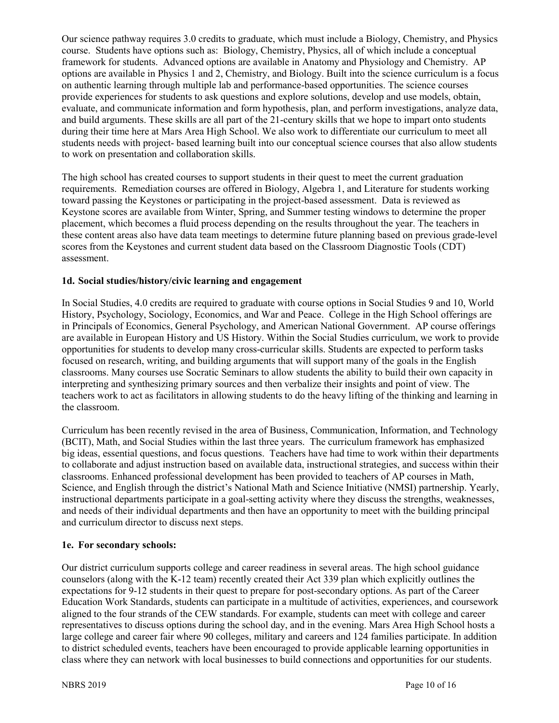Our science pathway requires 3.0 credits to graduate, which must include a Biology, Chemistry, and Physics course. Students have options such as: Biology, Chemistry, Physics, all of which include a conceptual framework for students. Advanced options are available in Anatomy and Physiology and Chemistry. AP options are available in Physics 1 and 2, Chemistry, and Biology. Built into the science curriculum is a focus on authentic learning through multiple lab and performance-based opportunities. The science courses provide experiences for students to ask questions and explore solutions, develop and use models, obtain, evaluate, and communicate information and form hypothesis, plan, and perform investigations, analyze data, and build arguments. These skills are all part of the 21-century skills that we hope to impart onto students during their time here at Mars Area High School. We also work to differentiate our curriculum to meet all students needs with project- based learning built into our conceptual science courses that also allow students to work on presentation and collaboration skills.

The high school has created courses to support students in their quest to meet the current graduation requirements. Remediation courses are offered in Biology, Algebra 1, and Literature for students working toward passing the Keystones or participating in the project-based assessment. Data is reviewed as Keystone scores are available from Winter, Spring, and Summer testing windows to determine the proper placement, which becomes a fluid process depending on the results throughout the year. The teachers in these content areas also have data team meetings to determine future planning based on previous grade-level scores from the Keystones and current student data based on the Classroom Diagnostic Tools (CDT) assessment.

## **1d. Social studies/history/civic learning and engagement**

In Social Studies, 4.0 credits are required to graduate with course options in Social Studies 9 and 10, World History, Psychology, Sociology, Economics, and War and Peace. College in the High School offerings are in Principals of Economics, General Psychology, and American National Government. AP course offerings are available in European History and US History. Within the Social Studies curriculum, we work to provide opportunities for students to develop many cross-curricular skills. Students are expected to perform tasks focused on research, writing, and building arguments that will support many of the goals in the English classrooms. Many courses use Socratic Seminars to allow students the ability to build their own capacity in interpreting and synthesizing primary sources and then verbalize their insights and point of view. The teachers work to act as facilitators in allowing students to do the heavy lifting of the thinking and learning in the classroom.

Curriculum has been recently revised in the area of Business, Communication, Information, and Technology (BCIT), Math, and Social Studies within the last three years. The curriculum framework has emphasized big ideas, essential questions, and focus questions. Teachers have had time to work within their departments to collaborate and adjust instruction based on available data, instructional strategies, and success within their classrooms. Enhanced professional development has been provided to teachers of AP courses in Math, Science, and English through the district's National Math and Science Initiative (NMSI) partnership. Yearly, instructional departments participate in a goal-setting activity where they discuss the strengths, weaknesses, and needs of their individual departments and then have an opportunity to meet with the building principal and curriculum director to discuss next steps.

#### **1e. For secondary schools:**

Our district curriculum supports college and career readiness in several areas. The high school guidance counselors (along with the K-12 team) recently created their Act 339 plan which explicitly outlines the expectations for 9-12 students in their quest to prepare for post-secondary options. As part of the Career Education Work Standards, students can participate in a multitude of activities, experiences, and coursework aligned to the four strands of the CEW standards. For example, students can meet with college and career representatives to discuss options during the school day, and in the evening. Mars Area High School hosts a large college and career fair where 90 colleges, military and careers and 124 families participate. In addition to district scheduled events, teachers have been encouraged to provide applicable learning opportunities in class where they can network with local businesses to build connections and opportunities for our students.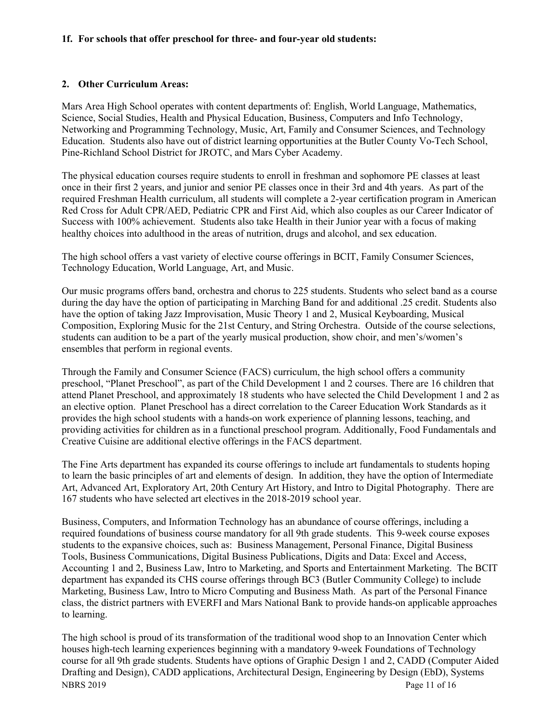#### **1f. For schools that offer preschool for three- and four-year old students:**

#### **2. Other Curriculum Areas:**

Mars Area High School operates with content departments of: English, World Language, Mathematics, Science, Social Studies, Health and Physical Education, Business, Computers and Info Technology, Networking and Programming Technology, Music, Art, Family and Consumer Sciences, and Technology Education. Students also have out of district learning opportunities at the Butler County Vo-Tech School, Pine-Richland School District for JROTC, and Mars Cyber Academy.

The physical education courses require students to enroll in freshman and sophomore PE classes at least once in their first 2 years, and junior and senior PE classes once in their 3rd and 4th years. As part of the required Freshman Health curriculum, all students will complete a 2-year certification program in American Red Cross for Adult CPR/AED, Pediatric CPR and First Aid, which also couples as our Career Indicator of Success with 100% achievement. Students also take Health in their Junior year with a focus of making healthy choices into adulthood in the areas of nutrition, drugs and alcohol, and sex education.

The high school offers a vast variety of elective course offerings in BCIT, Family Consumer Sciences, Technology Education, World Language, Art, and Music.

Our music programs offers band, orchestra and chorus to 225 students. Students who select band as a course during the day have the option of participating in Marching Band for and additional .25 credit. Students also have the option of taking Jazz Improvisation, Music Theory 1 and 2, Musical Keyboarding, Musical Composition, Exploring Music for the 21st Century, and String Orchestra. Outside of the course selections, students can audition to be a part of the yearly musical production, show choir, and men's/women's ensembles that perform in regional events.

Through the Family and Consumer Science (FACS) curriculum, the high school offers a community preschool, "Planet Preschool", as part of the Child Development 1 and 2 courses. There are 16 children that attend Planet Preschool, and approximately 18 students who have selected the Child Development 1 and 2 as an elective option. Planet Preschool has a direct correlation to the Career Education Work Standards as it provides the high school students with a hands-on work experience of planning lessons, teaching, and providing activities for children as in a functional preschool program. Additionally, Food Fundamentals and Creative Cuisine are additional elective offerings in the FACS department.

The Fine Arts department has expanded its course offerings to include art fundamentals to students hoping to learn the basic principles of art and elements of design. In addition, they have the option of Intermediate Art, Advanced Art, Exploratory Art, 20th Century Art History, and Intro to Digital Photography. There are 167 students who have selected art electives in the 2018-2019 school year.

Business, Computers, and Information Technology has an abundance of course offerings, including a required foundations of business course mandatory for all 9th grade students. This 9-week course exposes students to the expansive choices, such as: Business Management, Personal Finance, Digital Business Tools, Business Communications, Digital Business Publications, Digits and Data: Excel and Access, Accounting 1 and 2, Business Law, Intro to Marketing, and Sports and Entertainment Marketing. The BCIT department has expanded its CHS course offerings through BC3 (Butler Community College) to include Marketing, Business Law, Intro to Micro Computing and Business Math. As part of the Personal Finance class, the district partners with EVERFI and Mars National Bank to provide hands-on applicable approaches to learning.

NBRS 2019 Page 11 of 16 The high school is proud of its transformation of the traditional wood shop to an Innovation Center which houses high-tech learning experiences beginning with a mandatory 9-week Foundations of Technology course for all 9th grade students. Students have options of Graphic Design 1 and 2, CADD (Computer Aided Drafting and Design), CADD applications, Architectural Design, Engineering by Design (EbD), Systems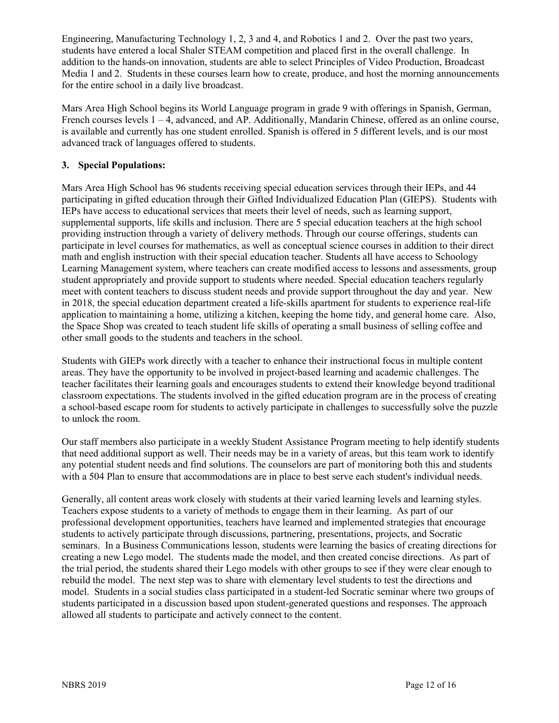Engineering, Manufacturing Technology 1, 2, 3 and 4, and Robotics 1 and 2. Over the past two years, students have entered a local Shaler STEAM competition and placed first in the overall challenge. In addition to the hands-on innovation, students are able to select Principles of Video Production, Broadcast Media 1 and 2. Students in these courses learn how to create, produce, and host the morning announcements for the entire school in a daily live broadcast.

Mars Area High School begins its World Language program in grade 9 with offerings in Spanish, German, French courses levels  $1 - 4$ , advanced, and AP. Additionally, Mandarin Chinese, offered as an online course, is available and currently has one student enrolled. Spanish is offered in 5 different levels, and is our most advanced track of languages offered to students.

# **3. Special Populations:**

Mars Area High School has 96 students receiving special education services through their IEPs, and 44 participating in gifted education through their Gifted Individualized Education Plan (GIEPS). Students with IEPs have access to educational services that meets their level of needs, such as learning support, supplemental supports, life skills and inclusion. There are 5 special education teachers at the high school providing instruction through a variety of delivery methods. Through our course offerings, students can participate in level courses for mathematics, as well as conceptual science courses in addition to their direct math and english instruction with their special education teacher. Students all have access to Schoology Learning Management system, where teachers can create modified access to lessons and assessments, group student appropriately and provide support to students where needed. Special education teachers regularly meet with content teachers to discuss student needs and provide support throughout the day and year. New in 2018, the special education department created a life-skills apartment for students to experience real-life application to maintaining a home, utilizing a kitchen, keeping the home tidy, and general home care. Also, the Space Shop was created to teach student life skills of operating a small business of selling coffee and other small goods to the students and teachers in the school.

Students with GIEPs work directly with a teacher to enhance their instructional focus in multiple content areas. They have the opportunity to be involved in project-based learning and academic challenges. The teacher facilitates their learning goals and encourages students to extend their knowledge beyond traditional classroom expectations. The students involved in the gifted education program are in the process of creating a school-based escape room for students to actively participate in challenges to successfully solve the puzzle to unlock the room.

Our staff members also participate in a weekly Student Assistance Program meeting to help identify students that need additional support as well. Their needs may be in a variety of areas, but this team work to identify any potential student needs and find solutions. The counselors are part of monitoring both this and students with a 504 Plan to ensure that accommodations are in place to best serve each student's individual needs.

Generally, all content areas work closely with students at their varied learning levels and learning styles. Teachers expose students to a variety of methods to engage them in their learning. As part of our professional development opportunities, teachers have learned and implemented strategies that encourage students to actively participate through discussions, partnering, presentations, projects, and Socratic seminars. In a Business Communications lesson, students were learning the basics of creating directions for creating a new Lego model. The students made the model, and then created concise directions. As part of the trial period, the students shared their Lego models with other groups to see if they were clear enough to rebuild the model. The next step was to share with elementary level students to test the directions and model. Students in a social studies class participated in a student-led Socratic seminar where two groups of students participated in a discussion based upon student-generated questions and responses. The approach allowed all students to participate and actively connect to the content.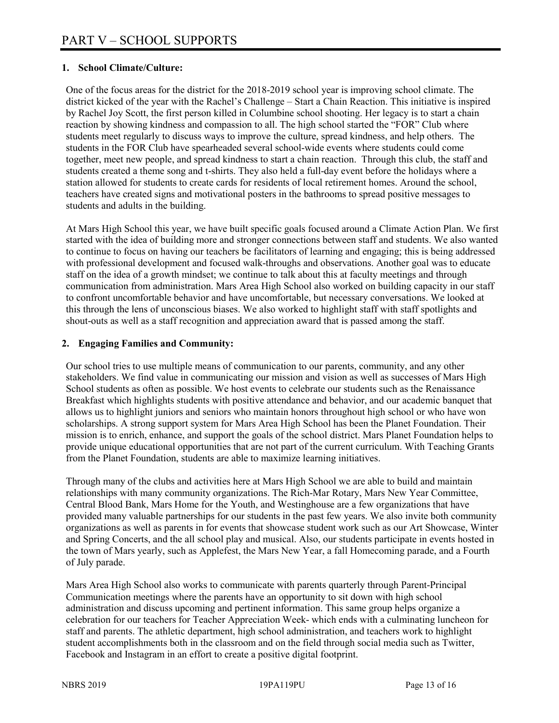# **1. School Climate/Culture:**

One of the focus areas for the district for the 2018-2019 school year is improving school climate. The district kicked of the year with the Rachel's Challenge – Start a Chain Reaction. This initiative is inspired by Rachel Joy Scott, the first person killed in Columbine school shooting. Her legacy is to start a chain reaction by showing kindness and compassion to all. The high school started the "FOR" Club where students meet regularly to discuss ways to improve the culture, spread kindness, and help others. The students in the FOR Club have spearheaded several school-wide events where students could come together, meet new people, and spread kindness to start a chain reaction. Through this club, the staff and students created a theme song and t-shirts. They also held a full-day event before the holidays where a station allowed for students to create cards for residents of local retirement homes. Around the school, teachers have created signs and motivational posters in the bathrooms to spread positive messages to students and adults in the building.

At Mars High School this year, we have built specific goals focused around a Climate Action Plan. We first started with the idea of building more and stronger connections between staff and students. We also wanted to continue to focus on having our teachers be facilitators of learning and engaging; this is being addressed with professional development and focused walk-throughs and observations. Another goal was to educate staff on the idea of a growth mindset; we continue to talk about this at faculty meetings and through communication from administration. Mars Area High School also worked on building capacity in our staff to confront uncomfortable behavior and have uncomfortable, but necessary conversations. We looked at this through the lens of unconscious biases. We also worked to highlight staff with staff spotlights and shout-outs as well as a staff recognition and appreciation award that is passed among the staff.

## **2. Engaging Families and Community:**

Our school tries to use multiple means of communication to our parents, community, and any other stakeholders. We find value in communicating our mission and vision as well as successes of Mars High School students as often as possible. We host events to celebrate our students such as the Renaissance Breakfast which highlights students with positive attendance and behavior, and our academic banquet that allows us to highlight juniors and seniors who maintain honors throughout high school or who have won scholarships. A strong support system for Mars Area High School has been the Planet Foundation. Their mission is to enrich, enhance, and support the goals of the school district. Mars Planet Foundation helps to provide unique educational opportunities that are not part of the current curriculum. With Teaching Grants from the Planet Foundation, students are able to maximize learning initiatives.

Through many of the clubs and activities here at Mars High School we are able to build and maintain relationships with many community organizations. The Rich-Mar Rotary, Mars New Year Committee, Central Blood Bank, Mars Home for the Youth, and Westinghouse are a few organizations that have provided many valuable partnerships for our students in the past few years. We also invite both community organizations as well as parents in for events that showcase student work such as our Art Showcase, Winter and Spring Concerts, and the all school play and musical. Also, our students participate in events hosted in the town of Mars yearly, such as Applefest, the Mars New Year, a fall Homecoming parade, and a Fourth of July parade.

Mars Area High School also works to communicate with parents quarterly through Parent-Principal Communication meetings where the parents have an opportunity to sit down with high school administration and discuss upcoming and pertinent information. This same group helps organize a celebration for our teachers for Teacher Appreciation Week- which ends with a culminating luncheon for staff and parents. The athletic department, high school administration, and teachers work to highlight student accomplishments both in the classroom and on the field through social media such as Twitter, Facebook and Instagram in an effort to create a positive digital footprint.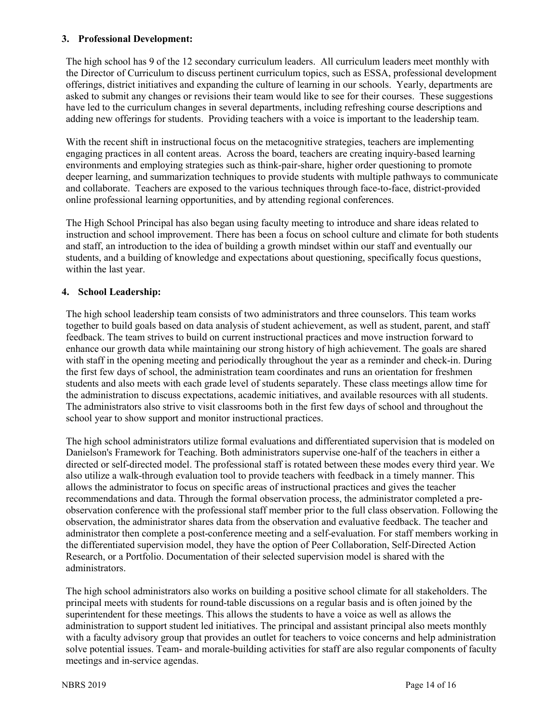#### **3. Professional Development:**

The high school has 9 of the 12 secondary curriculum leaders. All curriculum leaders meet monthly with the Director of Curriculum to discuss pertinent curriculum topics, such as ESSA, professional development offerings, district initiatives and expanding the culture of learning in our schools. Yearly, departments are asked to submit any changes or revisions their team would like to see for their courses. These suggestions have led to the curriculum changes in several departments, including refreshing course descriptions and adding new offerings for students. Providing teachers with a voice is important to the leadership team.

With the recent shift in instructional focus on the metacognitive strategies, teachers are implementing engaging practices in all content areas. Across the board, teachers are creating inquiry-based learning environments and employing strategies such as think-pair-share, higher order questioning to promote deeper learning, and summarization techniques to provide students with multiple pathways to communicate and collaborate. Teachers are exposed to the various techniques through face-to-face, district-provided online professional learning opportunities, and by attending regional conferences.

The High School Principal has also began using faculty meeting to introduce and share ideas related to instruction and school improvement. There has been a focus on school culture and climate for both students and staff, an introduction to the idea of building a growth mindset within our staff and eventually our students, and a building of knowledge and expectations about questioning, specifically focus questions, within the last year.

## **4. School Leadership:**

The high school leadership team consists of two administrators and three counselors. This team works together to build goals based on data analysis of student achievement, as well as student, parent, and staff feedback. The team strives to build on current instructional practices and move instruction forward to enhance our growth data while maintaining our strong history of high achievement. The goals are shared with staff in the opening meeting and periodically throughout the year as a reminder and check-in. During the first few days of school, the administration team coordinates and runs an orientation for freshmen students and also meets with each grade level of students separately. These class meetings allow time for the administration to discuss expectations, academic initiatives, and available resources with all students. The administrators also strive to visit classrooms both in the first few days of school and throughout the school year to show support and monitor instructional practices.

The high school administrators utilize formal evaluations and differentiated supervision that is modeled on Danielson's Framework for Teaching. Both administrators supervise one-half of the teachers in either a directed or self-directed model. The professional staff is rotated between these modes every third year. We also utilize a walk-through evaluation tool to provide teachers with feedback in a timely manner. This allows the administrator to focus on specific areas of instructional practices and gives the teacher recommendations and data. Through the formal observation process, the administrator completed a preobservation conference with the professional staff member prior to the full class observation. Following the observation, the administrator shares data from the observation and evaluative feedback. The teacher and administrator then complete a post-conference meeting and a self-evaluation. For staff members working in the differentiated supervision model, they have the option of Peer Collaboration, Self-Directed Action Research, or a Portfolio. Documentation of their selected supervision model is shared with the administrators.

The high school administrators also works on building a positive school climate for all stakeholders. The principal meets with students for round-table discussions on a regular basis and is often joined by the superintendent for these meetings. This allows the students to have a voice as well as allows the administration to support student led initiatives. The principal and assistant principal also meets monthly with a faculty advisory group that provides an outlet for teachers to voice concerns and help administration solve potential issues. Team- and morale-building activities for staff are also regular components of faculty meetings and in-service agendas.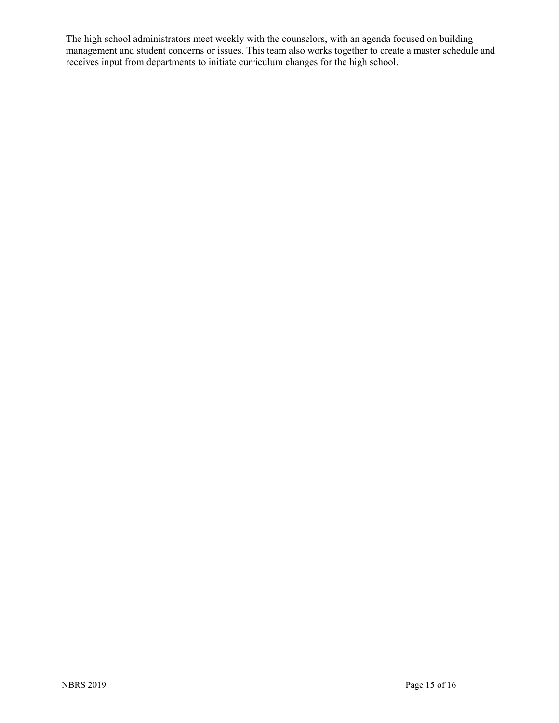The high school administrators meet weekly with the counselors, with an agenda focused on building management and student concerns or issues. This team also works together to create a master schedule and receives input from departments to initiate curriculum changes for the high school.